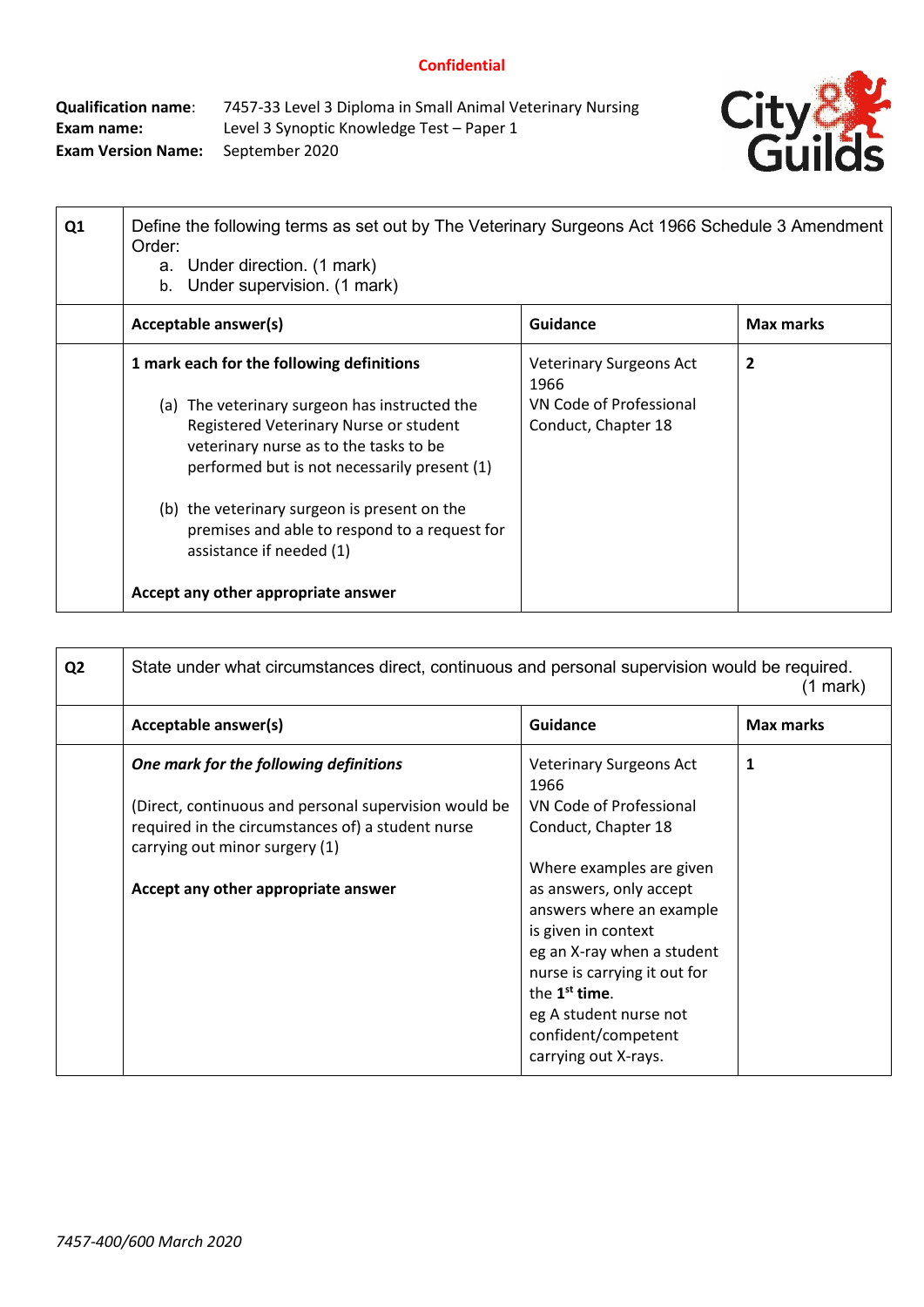| <b>Qualification name:</b> | 7457-33 Level 3 Diploma in Small Animal Veterinary Nursing |
|----------------------------|------------------------------------------------------------|
| Exam name:                 | Level 3 Synoptic Knowledge Test – Paper 1                  |
| <b>Exam Version Name:</b>  | September 2020                                             |



| Q1 | Define the following terms as set out by The Veterinary Surgeons Act 1966 Schedule 3 Amendment<br>Order:<br>a. Under direction. (1 mark)<br>Under supervision. (1 mark)<br>b.                                                                                                                                                                                                                      |                                                                                          |                  |
|----|----------------------------------------------------------------------------------------------------------------------------------------------------------------------------------------------------------------------------------------------------------------------------------------------------------------------------------------------------------------------------------------------------|------------------------------------------------------------------------------------------|------------------|
|    | Acceptable answer(s)                                                                                                                                                                                                                                                                                                                                                                               | <b>Guidance</b>                                                                          | <b>Max marks</b> |
|    | 1 mark each for the following definitions<br>(a) The veterinary surgeon has instructed the<br>Registered Veterinary Nurse or student<br>veterinary nurse as to the tasks to be<br>performed but is not necessarily present (1)<br>(b) the veterinary surgeon is present on the<br>premises and able to respond to a request for<br>assistance if needed (1)<br>Accept any other appropriate answer | <b>Veterinary Surgeons Act</b><br>1966<br>VN Code of Professional<br>Conduct, Chapter 18 | 2                |

| Q <sub>2</sub> | State under what circumstances direct, continuous and personal supervision would be required.<br>(1 mark)                                                                                                                     |                                                                                                                                                                                                                                                                                                                         |   |
|----------------|-------------------------------------------------------------------------------------------------------------------------------------------------------------------------------------------------------------------------------|-------------------------------------------------------------------------------------------------------------------------------------------------------------------------------------------------------------------------------------------------------------------------------------------------------------------------|---|
|                | Acceptable answer(s)<br>Guidance<br><b>Max marks</b>                                                                                                                                                                          |                                                                                                                                                                                                                                                                                                                         |   |
|                | One mark for the following definitions<br>(Direct, continuous and personal supervision would be<br>required in the circumstances of) a student nurse<br>carrying out minor surgery (1)<br>Accept any other appropriate answer | <b>Veterinary Surgeons Act</b><br>1966<br>VN Code of Professional<br>Conduct, Chapter 18<br>Where examples are given<br>as answers, only accept<br>answers where an example<br>is given in context<br>eg an X-ray when a student<br>nurse is carrying it out for<br>the 1 <sup>st</sup> time.<br>eg A student nurse not | 1 |
|                |                                                                                                                                                                                                                               | confident/competent<br>carrying out X-rays.                                                                                                                                                                                                                                                                             |   |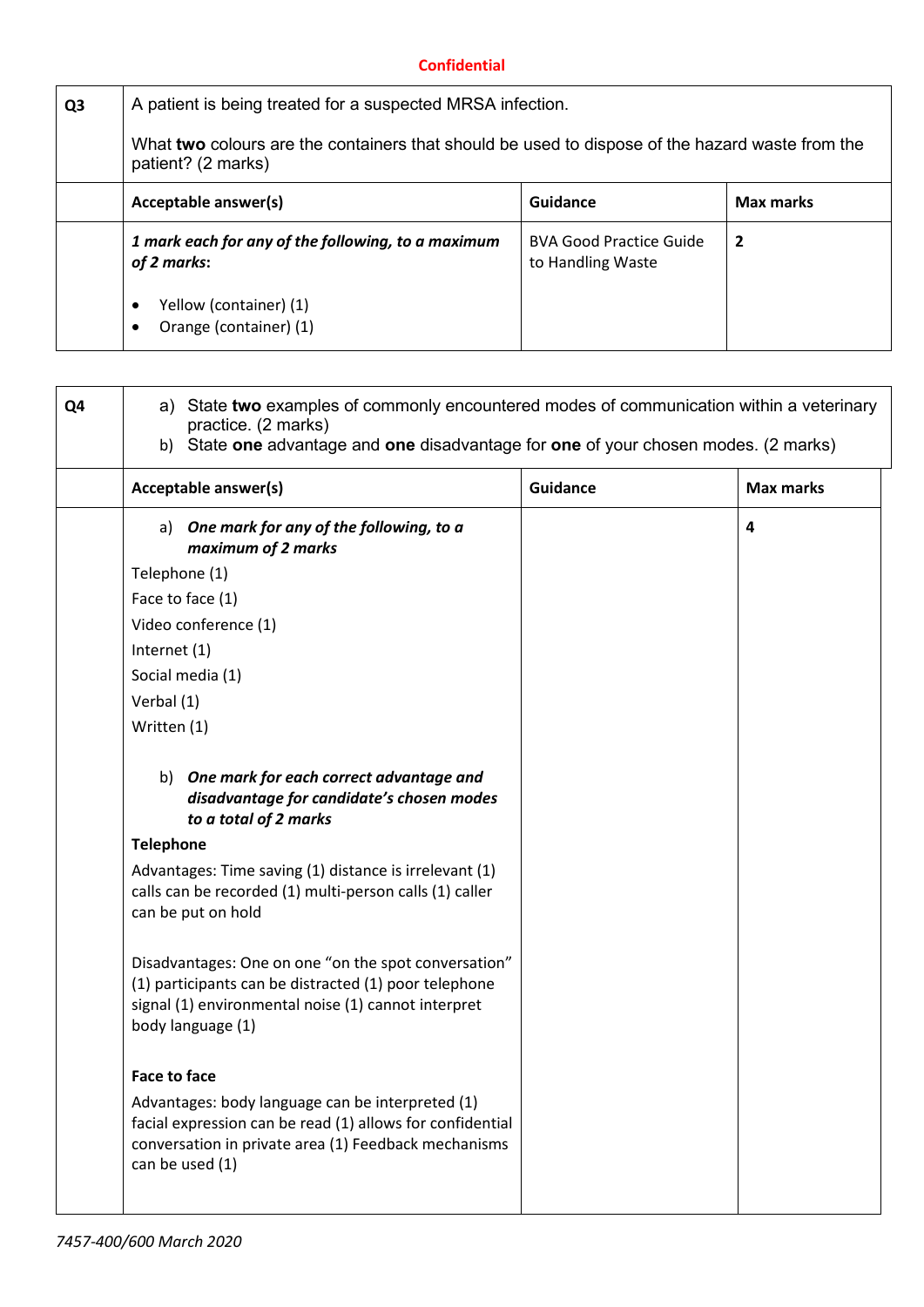| Q3 | A patient is being treated for a suspected MRSA infection.                                                                    |  |  |  |
|----|-------------------------------------------------------------------------------------------------------------------------------|--|--|--|
|    | What two colours are the containers that should be used to dispose of the hazard waste from the<br>patient? (2 marks)         |  |  |  |
|    | Guidance<br>Acceptable answer(s)<br>Max marks                                                                                 |  |  |  |
|    | <b>BVA Good Practice Guide</b><br>1 mark each for any of the following, to a maximum<br>2<br>of 2 marks:<br>to Handling Waste |  |  |  |
|    | Yellow (container) (1)<br>Orange (container) (1)                                                                              |  |  |  |

| Q4 | State two examples of commonly encountered modes of communication within a veterinary<br>a)<br>practice. (2 marks)<br>b) State one advantage and one disadvantage for one of your chosen modes. (2 marks) |                 |                  |
|----|-----------------------------------------------------------------------------------------------------------------------------------------------------------------------------------------------------------|-----------------|------------------|
|    | Acceptable answer(s)                                                                                                                                                                                      | <b>Guidance</b> | <b>Max marks</b> |
|    | One mark for any of the following, to a<br>a)<br>maximum of 2 marks                                                                                                                                       |                 | 4                |
|    | Telephone (1)                                                                                                                                                                                             |                 |                  |
|    | Face to face (1)                                                                                                                                                                                          |                 |                  |
|    | Video conference (1)                                                                                                                                                                                      |                 |                  |
|    | Internet (1)                                                                                                                                                                                              |                 |                  |
|    | Social media (1)                                                                                                                                                                                          |                 |                  |
|    | Verbal (1)                                                                                                                                                                                                |                 |                  |
|    | Written (1)                                                                                                                                                                                               |                 |                  |
|    | b) One mark for each correct advantage and<br>disadvantage for candidate's chosen modes<br>to a total of 2 marks                                                                                          |                 |                  |
|    | <b>Telephone</b>                                                                                                                                                                                          |                 |                  |
|    | Advantages: Time saving (1) distance is irrelevant (1)<br>calls can be recorded (1) multi-person calls (1) caller<br>can be put on hold                                                                   |                 |                  |
|    | Disadvantages: One on one "on the spot conversation"<br>(1) participants can be distracted (1) poor telephone<br>signal (1) environmental noise (1) cannot interpret<br>body language (1)                 |                 |                  |
|    | Face to face                                                                                                                                                                                              |                 |                  |
|    | Advantages: body language can be interpreted (1)<br>facial expression can be read (1) allows for confidential<br>conversation in private area (1) Feedback mechanisms<br>can be used (1)                  |                 |                  |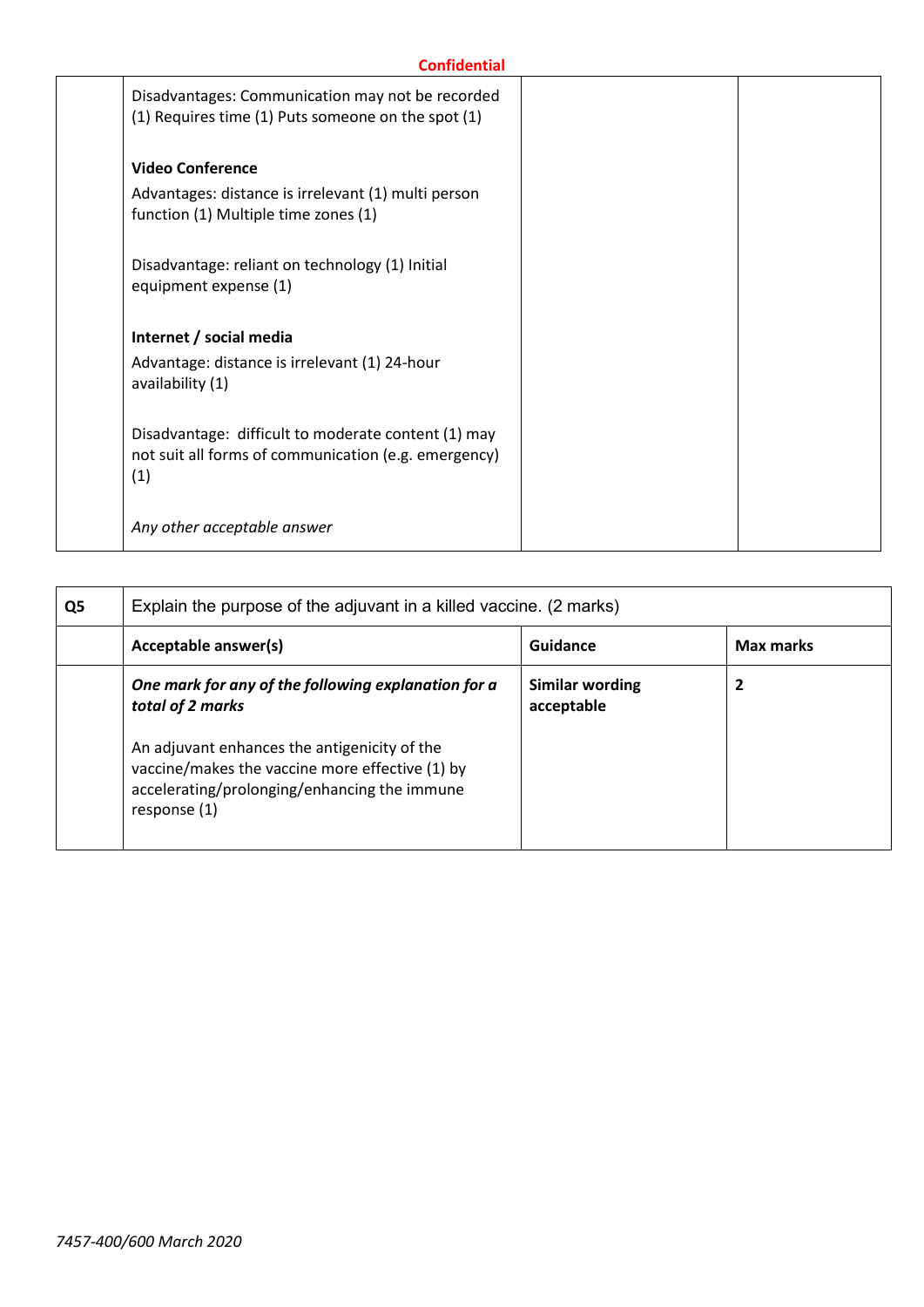| <b>Confidential</b>                                                                                                |
|--------------------------------------------------------------------------------------------------------------------|
| Disadvantages: Communication may not be recorded<br>(1) Requires time (1) Puts someone on the spot (1)             |
| <b>Video Conference</b>                                                                                            |
| Advantages: distance is irrelevant (1) multi person<br>function (1) Multiple time zones (1)                        |
| Disadvantage: reliant on technology (1) Initial<br>equipment expense (1)                                           |
| Internet / social media                                                                                            |
| Advantage: distance is irrelevant (1) 24-hour<br>availability (1)                                                  |
| Disadvantage: difficult to moderate content (1) may<br>not suit all forms of communication (e.g. emergency)<br>(1) |
| Any other acceptable answer                                                                                        |

| Q5 | Explain the purpose of the adjuvant in a killed vaccine. (2 marks)                                                                                              |                               |  |  |
|----|-----------------------------------------------------------------------------------------------------------------------------------------------------------------|-------------------------------|--|--|
|    | Acceptable answer(s)<br>Guidance<br><b>Max marks</b>                                                                                                            |                               |  |  |
|    | One mark for any of the following explanation for a<br>total of 2 marks                                                                                         | Similar wording<br>acceptable |  |  |
|    | An adjuvant enhances the antigenicity of the<br>vaccine/makes the vaccine more effective (1) by<br>accelerating/prolonging/enhancing the immune<br>response (1) |                               |  |  |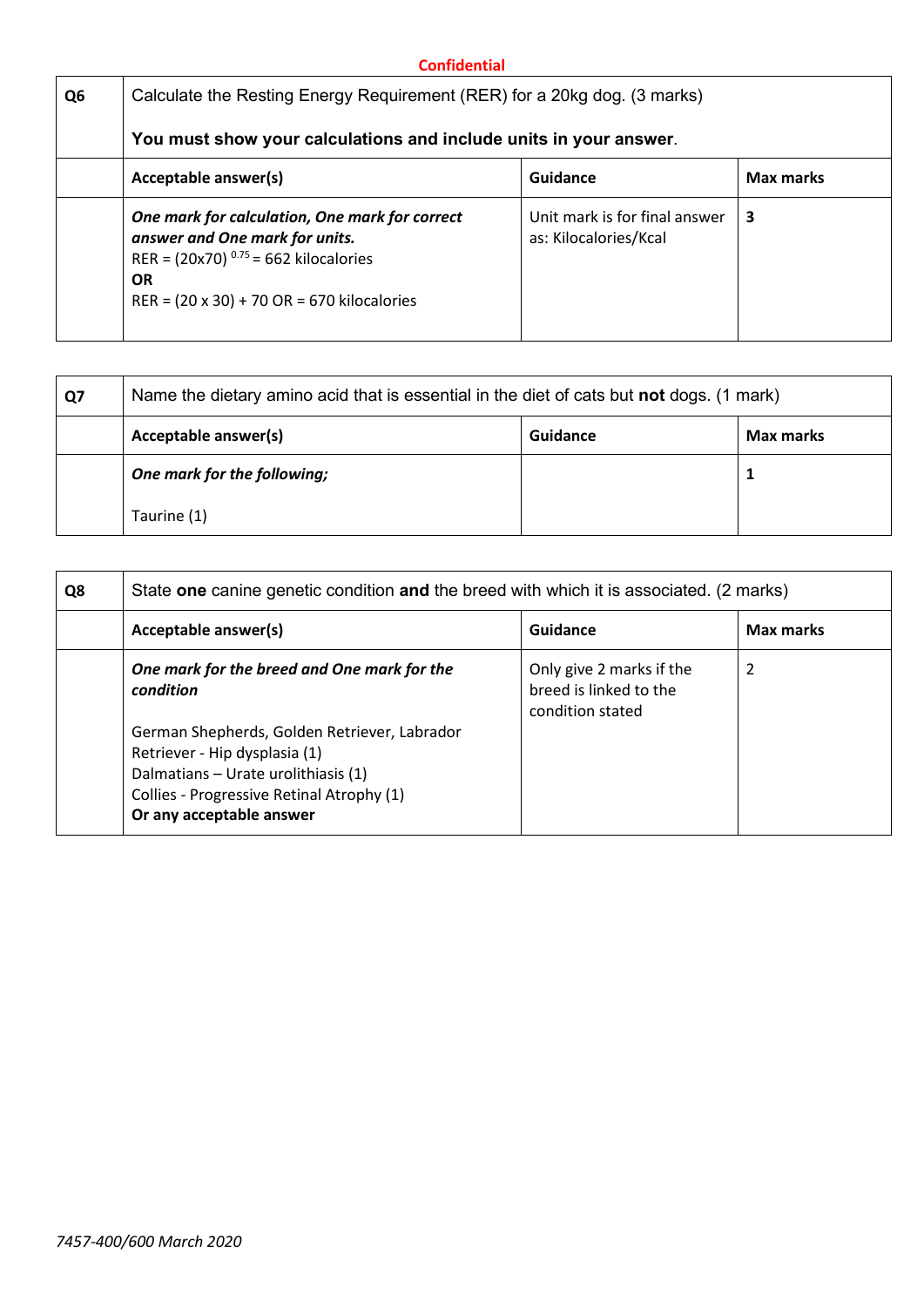| Q <sub>6</sub> | Calculate the Resting Energy Requirement (RER) for a 20kg dog. (3 marks)<br>You must show your calculations and include units in your answer.                                                                   |                                                        |   |  |
|----------------|-----------------------------------------------------------------------------------------------------------------------------------------------------------------------------------------------------------------|--------------------------------------------------------|---|--|
|                | Guidance<br>Acceptable answer(s)<br>Max marks                                                                                                                                                                   |                                                        |   |  |
|                | One mark for calculation, One mark for correct<br>answer and One mark for units.<br>RER = $(20x70)^{0.75}$ = 662 kilocalories<br><b>OR</b><br>$RER = (20 \times 30) + 70 \text{ OR} = 670 \text{ kilocalories}$ | Unit mark is for final answer<br>as: Kilocalories/Kcal | 3 |  |

| Q7 | Name the dietary amino acid that is essential in the diet of cats but not dogs. (1 mark) |  |  |  |
|----|------------------------------------------------------------------------------------------|--|--|--|
|    | Acceptable answer(s)<br>Guidance<br>Max marks                                            |  |  |  |
|    | One mark for the following;                                                              |  |  |  |
|    | Taurine (1)                                                                              |  |  |  |

| Q8 | State one canine genetic condition and the breed with which it is associated. (2 marks)                                                                                                                                                                   |                                                                        |   |  |  |
|----|-----------------------------------------------------------------------------------------------------------------------------------------------------------------------------------------------------------------------------------------------------------|------------------------------------------------------------------------|---|--|--|
|    | Guidance<br>Acceptable answer(s)<br>Max marks                                                                                                                                                                                                             |                                                                        |   |  |  |
|    | One mark for the breed and One mark for the<br>condition<br>German Shepherds, Golden Retriever, Labrador<br>Retriever - Hip dysplasia (1)<br>Dalmatians - Urate urolithiasis (1)<br>Collies - Progressive Retinal Atrophy (1)<br>Or any acceptable answer | Only give 2 marks if the<br>breed is linked to the<br>condition stated | 2 |  |  |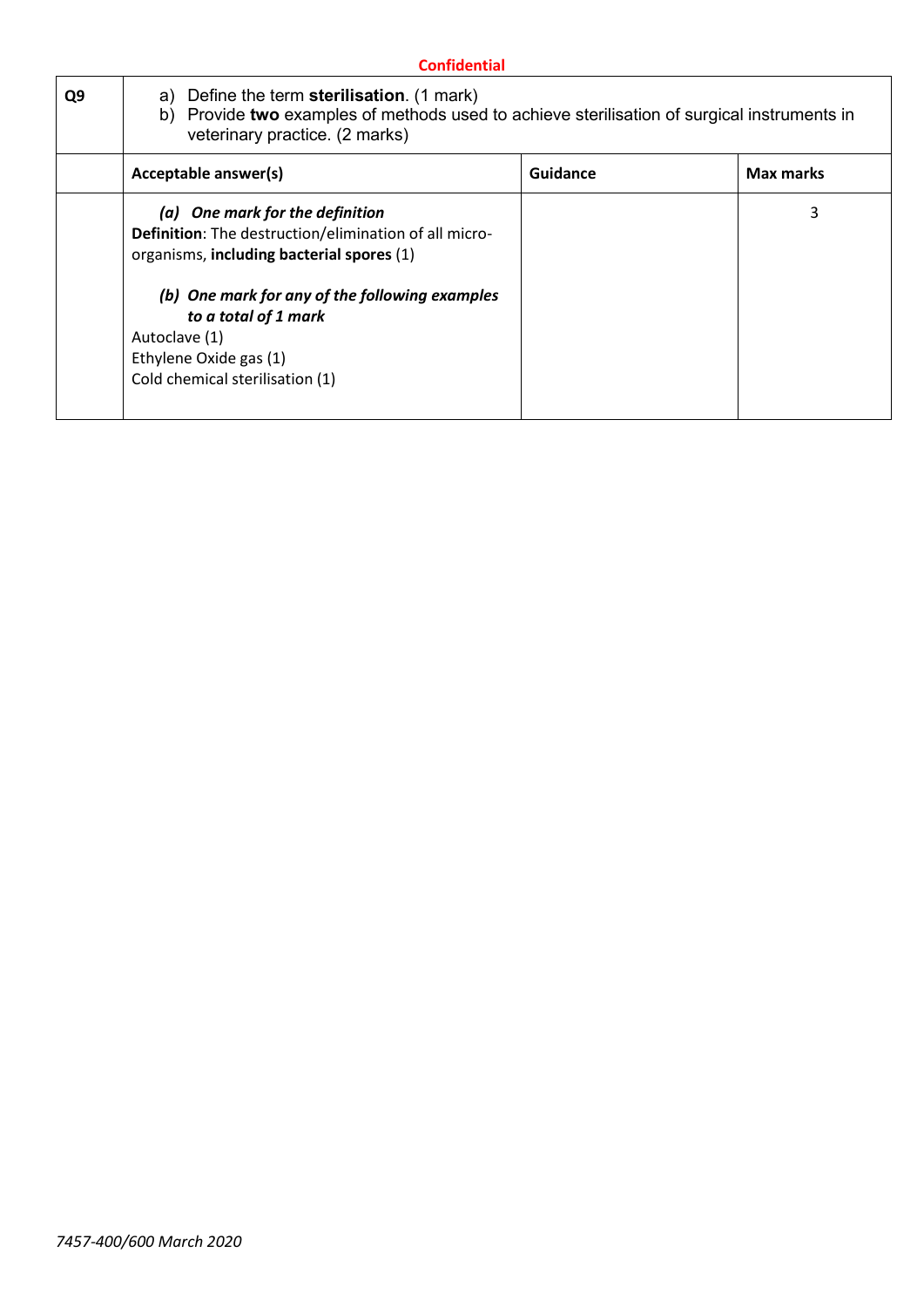|    | <b>Confidential</b>                                                                                                                                                                                                                                                                           |                 |                  |
|----|-----------------------------------------------------------------------------------------------------------------------------------------------------------------------------------------------------------------------------------------------------------------------------------------------|-----------------|------------------|
| Q9 | Define the term sterilisation. (1 mark)<br>a)<br>Provide two examples of methods used to achieve sterilisation of surgical instruments in<br>b)<br>veterinary practice. (2 marks)                                                                                                             |                 |                  |
|    | Acceptable answer(s)                                                                                                                                                                                                                                                                          | <b>Guidance</b> | <b>Max marks</b> |
|    | (a) One mark for the definition<br>Definition: The destruction/elimination of all micro-<br>organisms, including bacterial spores (1)<br>(b) One mark for any of the following examples<br>to a total of 1 mark<br>Autoclave (1)<br>Ethylene Oxide gas (1)<br>Cold chemical sterilisation (1) |                 | 3                |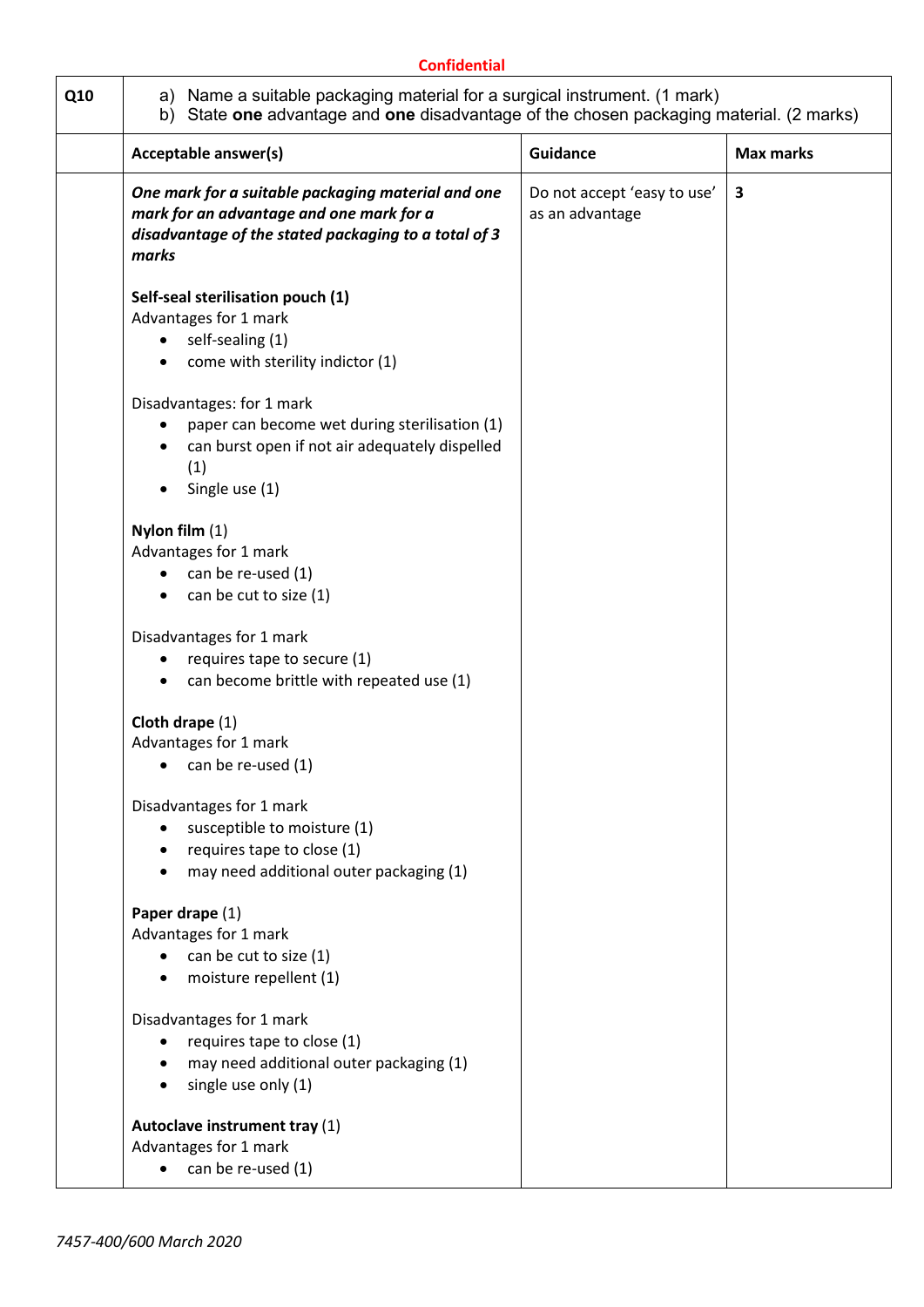|     | <b>Confidential</b>                                                                                                                                                                                                                                                                                                                                                                                                                                                                                                                                                                                                                                                                                                                                                                                                                                                  |                                                |                  |  |
|-----|----------------------------------------------------------------------------------------------------------------------------------------------------------------------------------------------------------------------------------------------------------------------------------------------------------------------------------------------------------------------------------------------------------------------------------------------------------------------------------------------------------------------------------------------------------------------------------------------------------------------------------------------------------------------------------------------------------------------------------------------------------------------------------------------------------------------------------------------------------------------|------------------------------------------------|------------------|--|
| Q10 | a) Name a suitable packaging material for a surgical instrument. (1 mark)<br>b) State one advantage and one disadvantage of the chosen packaging material. (2 marks)                                                                                                                                                                                                                                                                                                                                                                                                                                                                                                                                                                                                                                                                                                 |                                                |                  |  |
|     | <b>Acceptable answer(s)</b>                                                                                                                                                                                                                                                                                                                                                                                                                                                                                                                                                                                                                                                                                                                                                                                                                                          | Guidance                                       | <b>Max marks</b> |  |
|     | One mark for a suitable packaging material and one<br>mark for an advantage and one mark for a<br>disadvantage of the stated packaging to a total of 3<br>marks                                                                                                                                                                                                                                                                                                                                                                                                                                                                                                                                                                                                                                                                                                      | Do not accept 'easy to use'<br>as an advantage | 3                |  |
|     | Self-seal sterilisation pouch (1)<br>Advantages for 1 mark<br>self-sealing (1)<br>come with sterility indictor (1)<br>Disadvantages: for 1 mark<br>paper can become wet during sterilisation (1)<br>٠<br>can burst open if not air adequately dispelled<br>(1)<br>Single use (1)<br>Nylon film (1)<br>Advantages for 1 mark<br>can be re-used (1)<br>can be cut to size (1)<br>$\bullet$<br>Disadvantages for 1 mark<br>requires tape to secure (1)<br>can become brittle with repeated use (1)<br>Cloth drape (1)<br>Advantages for 1 mark<br>can be re-used (1)<br>Disadvantages for 1 mark<br>susceptible to moisture (1)<br>٠<br>requires tape to close (1)<br>may need additional outer packaging (1)<br>Paper drape (1)<br>Advantages for 1 mark<br>can be cut to size (1)<br>moisture repellent (1)<br>Disadvantages for 1 mark<br>requires tape to close (1) |                                                |                  |  |
|     | may need additional outer packaging (1)<br>single use only (1)                                                                                                                                                                                                                                                                                                                                                                                                                                                                                                                                                                                                                                                                                                                                                                                                       |                                                |                  |  |
|     | Autoclave instrument tray (1)<br>Advantages for 1 mark<br>can be re-used (1)                                                                                                                                                                                                                                                                                                                                                                                                                                                                                                                                                                                                                                                                                                                                                                                         |                                                |                  |  |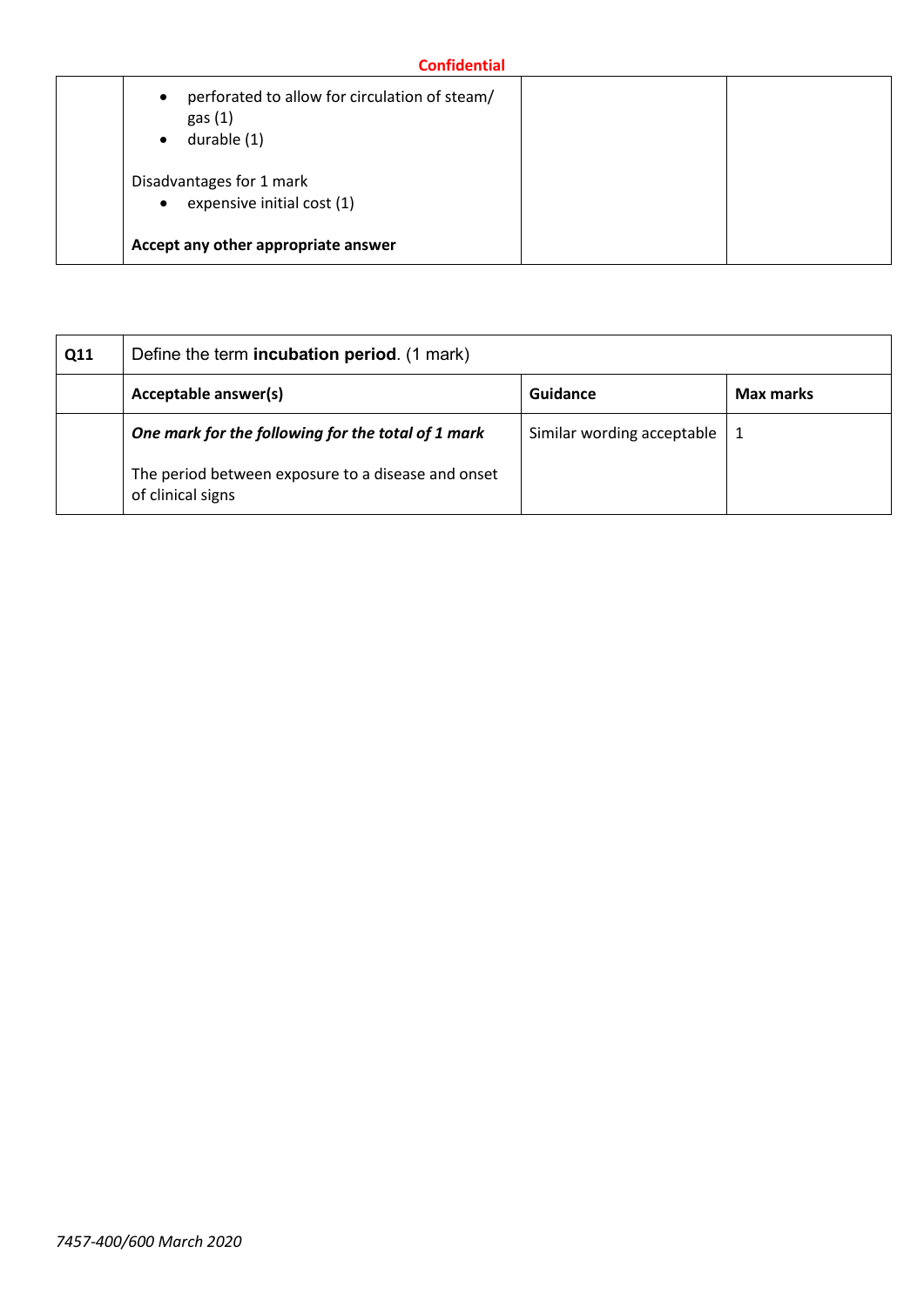| <b>Confidential</b>                                                                              |  |  |
|--------------------------------------------------------------------------------------------------|--|--|
| perforated to allow for circulation of steam/<br>$\bullet$<br>gas(1)<br>durable (1)<br>$\bullet$ |  |  |
| Disadvantages for 1 mark<br>expensive initial cost (1)<br>$\bullet$                              |  |  |
| Accept any other appropriate answer                                                              |  |  |

| Q11 | Define the term <b>incubation period</b> . (1 mark)                     |                                |           |
|-----|-------------------------------------------------------------------------|--------------------------------|-----------|
|     | Acceptable answer(s)                                                    | Guidance                       | Max marks |
|     | One mark for the following for the total of 1 mark                      | Similar wording acceptable   1 |           |
|     | The period between exposure to a disease and onset<br>of clinical signs |                                |           |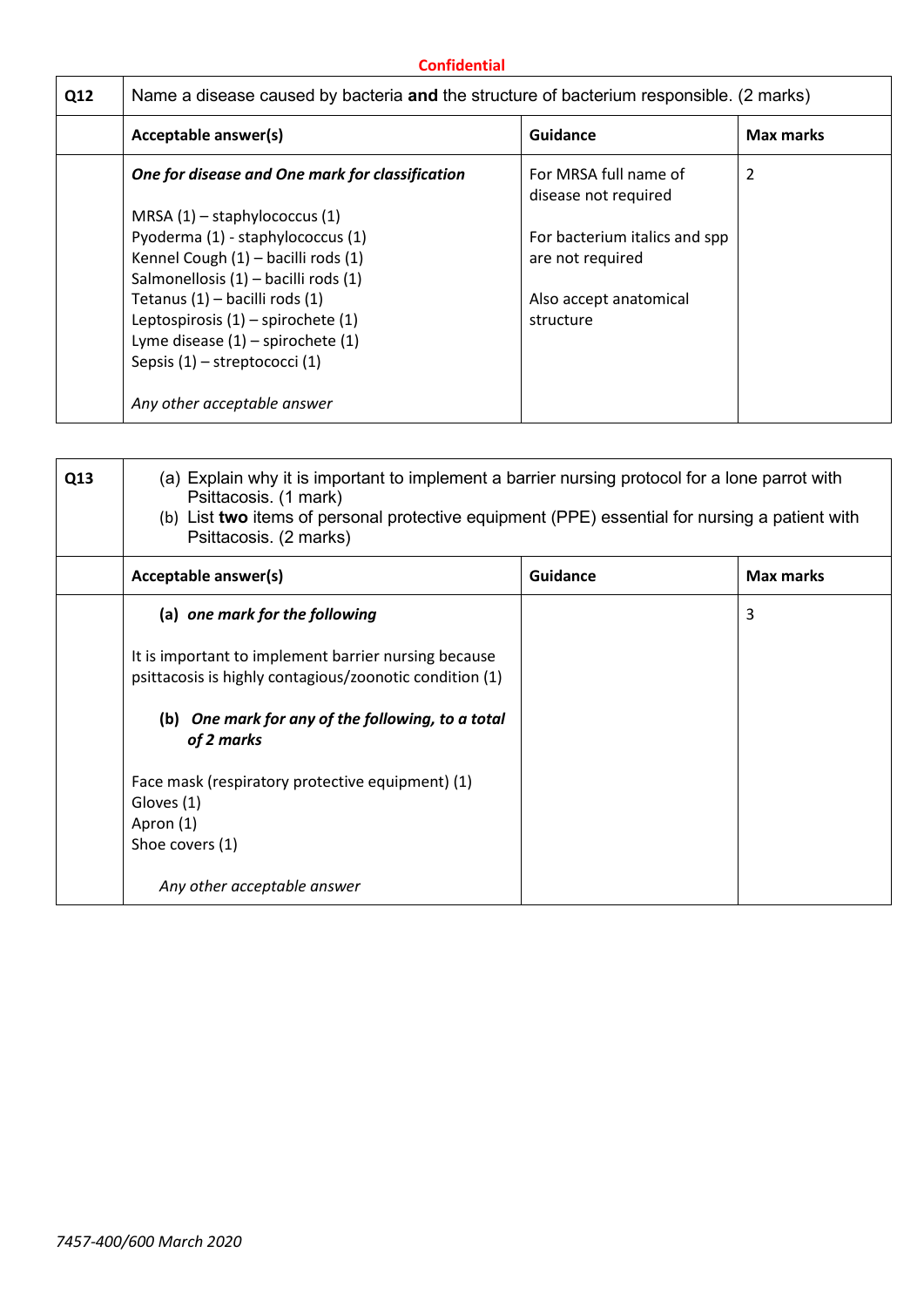| Q12 | Name a disease caused by bacteria and the structure of bacterium responsible. (2 marks) |                                               |           |
|-----|-----------------------------------------------------------------------------------------|-----------------------------------------------|-----------|
|     | Acceptable answer(s)                                                                    | <b>Guidance</b>                               | Max marks |
|     | One for disease and One mark for classification                                         | For MRSA full name of<br>disease not required | 2         |
|     | MRSA $(1)$ – staphylococcus $(1)$                                                       |                                               |           |
|     | Pyoderma (1) - staphylococcus (1)                                                       | For bacterium italics and spp                 |           |
|     | Kennel Cough (1) - bacilli rods (1)                                                     | are not required                              |           |
|     | Salmonellosis (1) - bacilli rods (1)                                                    |                                               |           |
|     | Tetanus (1) - bacilli rods (1)                                                          | Also accept anatomical                        |           |
|     | Leptospirosis $(1)$ – spirochete $(1)$                                                  | structure                                     |           |
|     | Lyme disease $(1)$ – spirochete $(1)$                                                   |                                               |           |
|     | Sepsis (1) – streptococci (1)                                                           |                                               |           |
|     | Any other acceptable answer                                                             |                                               |           |

| Q13 | (a) Explain why it is important to implement a barrier nursing protocol for a lone parrot with<br>Psittacosis. (1 mark)<br>(b) List two items of personal protective equipment (PPE) essential for nursing a patient with<br>Psittacosis. (2 marks) |                 |                  |
|-----|-----------------------------------------------------------------------------------------------------------------------------------------------------------------------------------------------------------------------------------------------------|-----------------|------------------|
|     | Acceptable answer(s)                                                                                                                                                                                                                                | <b>Guidance</b> | <b>Max marks</b> |
|     | (a) one mark for the following                                                                                                                                                                                                                      |                 | 3                |
|     | It is important to implement barrier nursing because<br>psittacosis is highly contagious/zoonotic condition (1)                                                                                                                                     |                 |                  |
|     | One mark for any of the following, to a total<br>(b)<br>of 2 marks                                                                                                                                                                                  |                 |                  |
|     | Face mask (respiratory protective equipment) (1)<br>Gloves (1)                                                                                                                                                                                      |                 |                  |
|     | Apron (1)                                                                                                                                                                                                                                           |                 |                  |
|     | Shoe covers (1)                                                                                                                                                                                                                                     |                 |                  |
|     | Any other acceptable answer                                                                                                                                                                                                                         |                 |                  |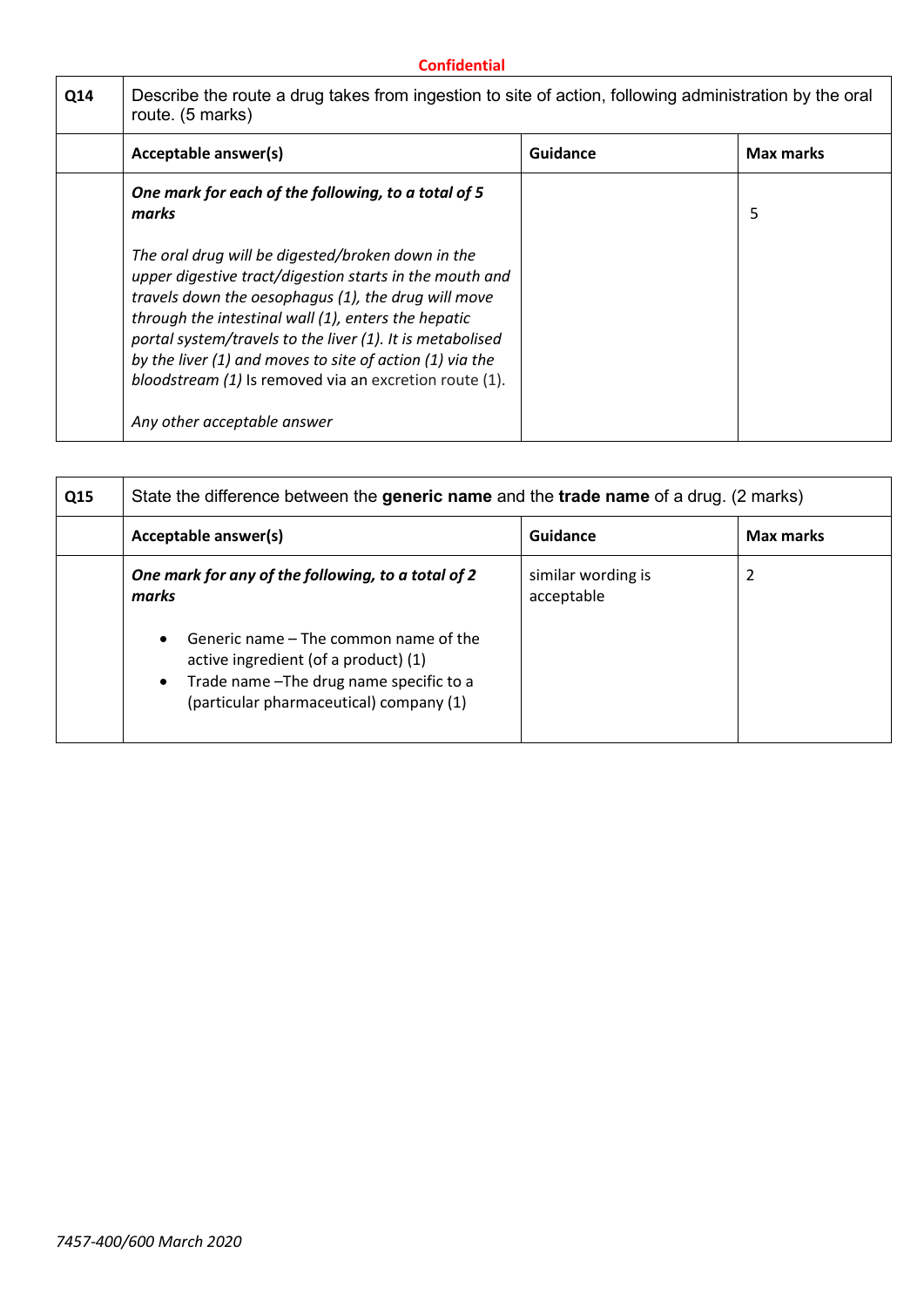|     | <b>Confidential</b>                                                                                                                                                                                                                                                                                                                                                                                           |                 |                  |
|-----|---------------------------------------------------------------------------------------------------------------------------------------------------------------------------------------------------------------------------------------------------------------------------------------------------------------------------------------------------------------------------------------------------------------|-----------------|------------------|
| Q14 | Describe the route a drug takes from ingestion to site of action, following administration by the oral<br>route. (5 marks)                                                                                                                                                                                                                                                                                    |                 |                  |
|     | Acceptable answer(s)                                                                                                                                                                                                                                                                                                                                                                                          | <b>Guidance</b> | <b>Max marks</b> |
|     | One mark for each of the following, to a total of 5<br>marks                                                                                                                                                                                                                                                                                                                                                  |                 | 5                |
|     | The oral drug will be digested/broken down in the<br>upper digestive tract/digestion starts in the mouth and<br>travels down the oesophagus (1), the drug will move<br>through the intestinal wall (1), enters the hepatic<br>portal system/travels to the liver (1). It is metabolised<br>by the liver (1) and moves to site of action (1) via the<br>bloodstream (1) Is removed via an excretion route (1). |                 |                  |
|     | Any other acceptable answer                                                                                                                                                                                                                                                                                                                                                                                   |                 |                  |

| Q15 | State the difference between the generic name and the trade name of a drug. (2 marks)                                                                                                                                                                         |                                  |           |
|-----|---------------------------------------------------------------------------------------------------------------------------------------------------------------------------------------------------------------------------------------------------------------|----------------------------------|-----------|
|     | Acceptable answer(s)                                                                                                                                                                                                                                          | Guidance                         | Max marks |
|     | One mark for any of the following, to a total of 2<br>marks<br>Generic name – The common name of the<br>$\bullet$<br>active ingredient (of a product) (1)<br>Trade name - The drug name specific to a<br>$\bullet$<br>(particular pharmaceutical) company (1) | similar wording is<br>acceptable | 2         |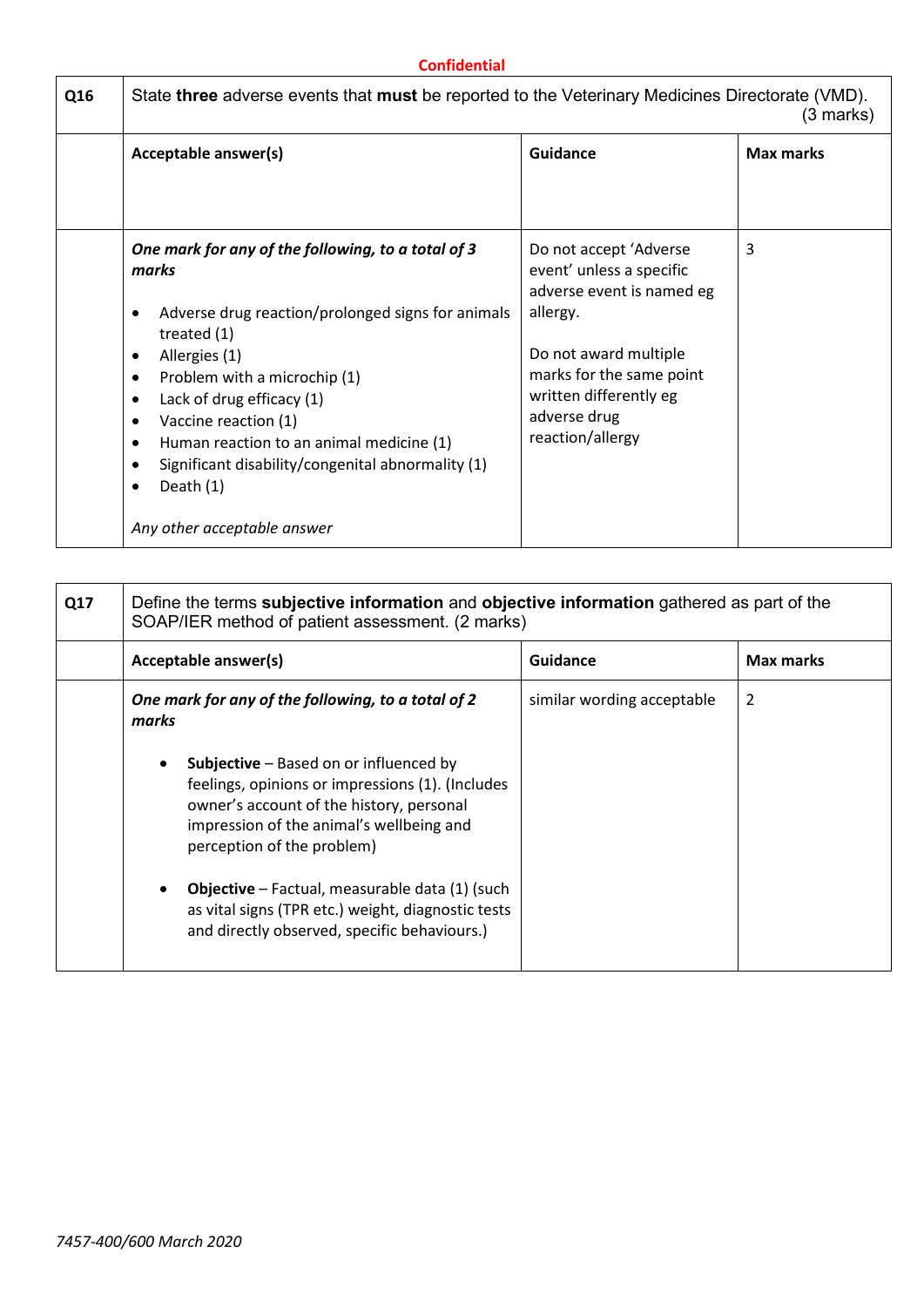| Q16 | State three adverse events that must be reported to the Veterinary Medicines Directorate (VMD).<br>(3 marks)                                                                                                                                                                                                                                                                                |                                                                                                                                                                                                                |           |
|-----|---------------------------------------------------------------------------------------------------------------------------------------------------------------------------------------------------------------------------------------------------------------------------------------------------------------------------------------------------------------------------------------------|----------------------------------------------------------------------------------------------------------------------------------------------------------------------------------------------------------------|-----------|
|     | Acceptable answer(s)                                                                                                                                                                                                                                                                                                                                                                        | Guidance                                                                                                                                                                                                       | Max marks |
|     | One mark for any of the following, to a total of 3<br>marks<br>Adverse drug reaction/prolonged signs for animals<br>٠<br>treated $(1)$<br>Allergies (1)<br>Problem with a microchip (1)<br>$\bullet$<br>Lack of drug efficacy (1)<br>٠<br>Vaccine reaction (1)<br>٠<br>Human reaction to an animal medicine (1)<br>٠<br>Significant disability/congenital abnormality (1)<br>٠<br>Death (1) | Do not accept 'Adverse<br>event' unless a specific<br>adverse event is named eg<br>allergy.<br>Do not award multiple<br>marks for the same point<br>written differently eg<br>adverse drug<br>reaction/allergy | 3         |
|     | Any other acceptable answer                                                                                                                                                                                                                                                                                                                                                                 |                                                                                                                                                                                                                |           |

| Q17 | Define the terms subjective information and objective information gathered as part of the<br>SOAP/IER method of patient assessment. (2 marks)                                                                           |                            |                  |
|-----|-------------------------------------------------------------------------------------------------------------------------------------------------------------------------------------------------------------------------|----------------------------|------------------|
|     | Acceptable answer(s)                                                                                                                                                                                                    | <b>Guidance</b>            | <b>Max marks</b> |
|     | One mark for any of the following, to a total of 2<br>marks                                                                                                                                                             | similar wording acceptable | $\overline{2}$   |
|     | <b>Subjective</b> – Based on or influenced by<br>feelings, opinions or impressions (1). (Includes<br>owner's account of the history, personal<br>impression of the animal's wellbeing and<br>perception of the problem) |                            |                  |
|     | <b>Objective</b> – Factual, measurable data (1) (such<br>as vital signs (TPR etc.) weight, diagnostic tests<br>and directly observed, specific behaviours.)                                                             |                            |                  |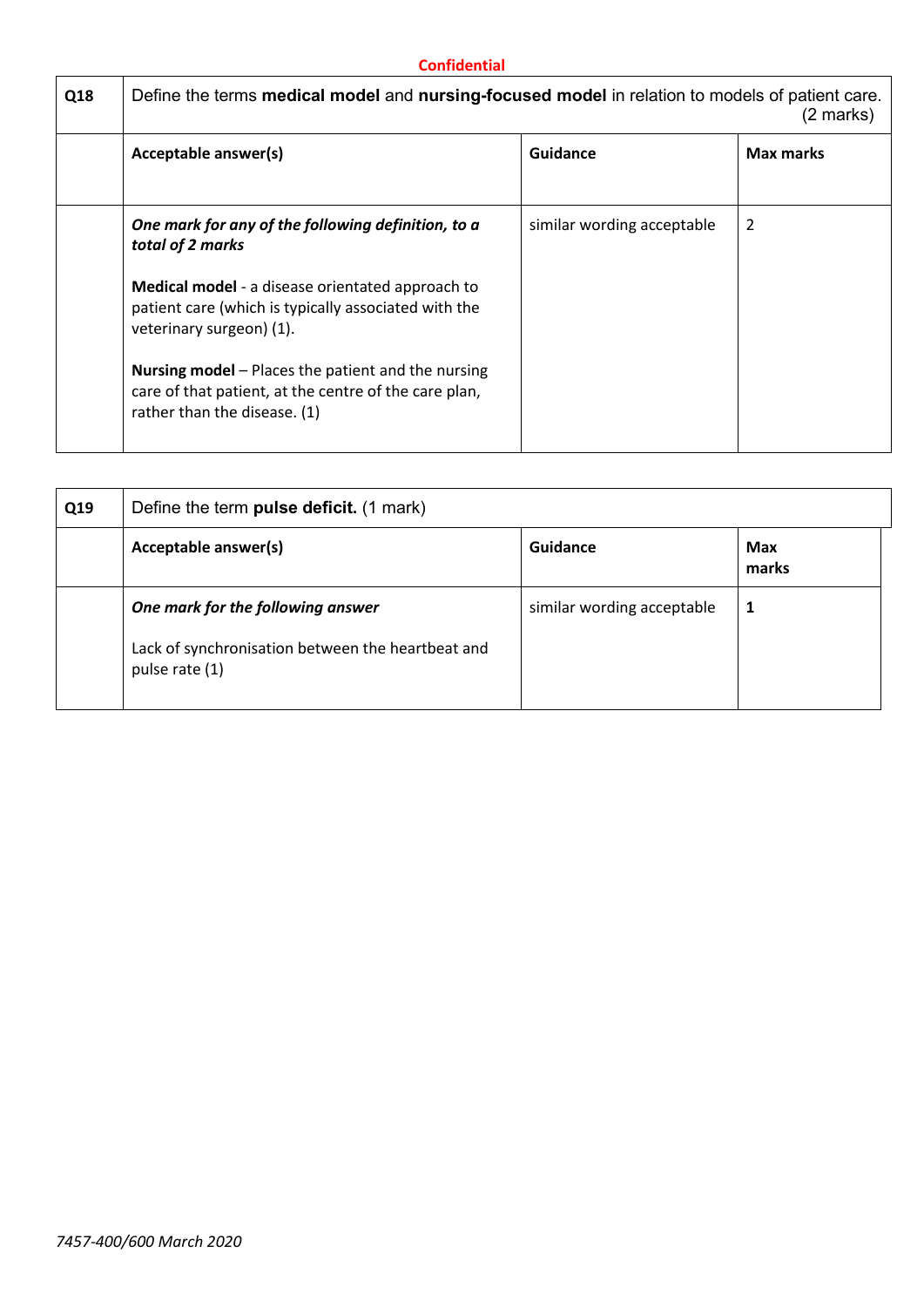| Q18 | Define the terms medical model and nursing-focused model in relation to models of patient care.<br>$(2 \text{ marks})$                             |                            |           |
|-----|----------------------------------------------------------------------------------------------------------------------------------------------------|----------------------------|-----------|
|     | Acceptable answer(s)                                                                                                                               | Guidance                   | Max marks |
|     | One mark for any of the following definition, to a<br>total of 2 marks                                                                             | similar wording acceptable | 2         |
|     | Medical model - a disease orientated approach to<br>patient care (which is typically associated with the<br>veterinary surgeon) (1).               |                            |           |
|     | <b>Nursing model</b> – Places the patient and the nursing<br>care of that patient, at the centre of the care plan,<br>rather than the disease. (1) |                            |           |

| Q19 | Define the term pulse deficit. (1 mark)                             |                            |              |
|-----|---------------------------------------------------------------------|----------------------------|--------------|
|     | Acceptable answer(s)                                                | Guidance                   | Max<br>marks |
|     | One mark for the following answer                                   | similar wording acceptable | -1           |
|     | Lack of synchronisation between the heartbeat and<br>pulse rate (1) |                            |              |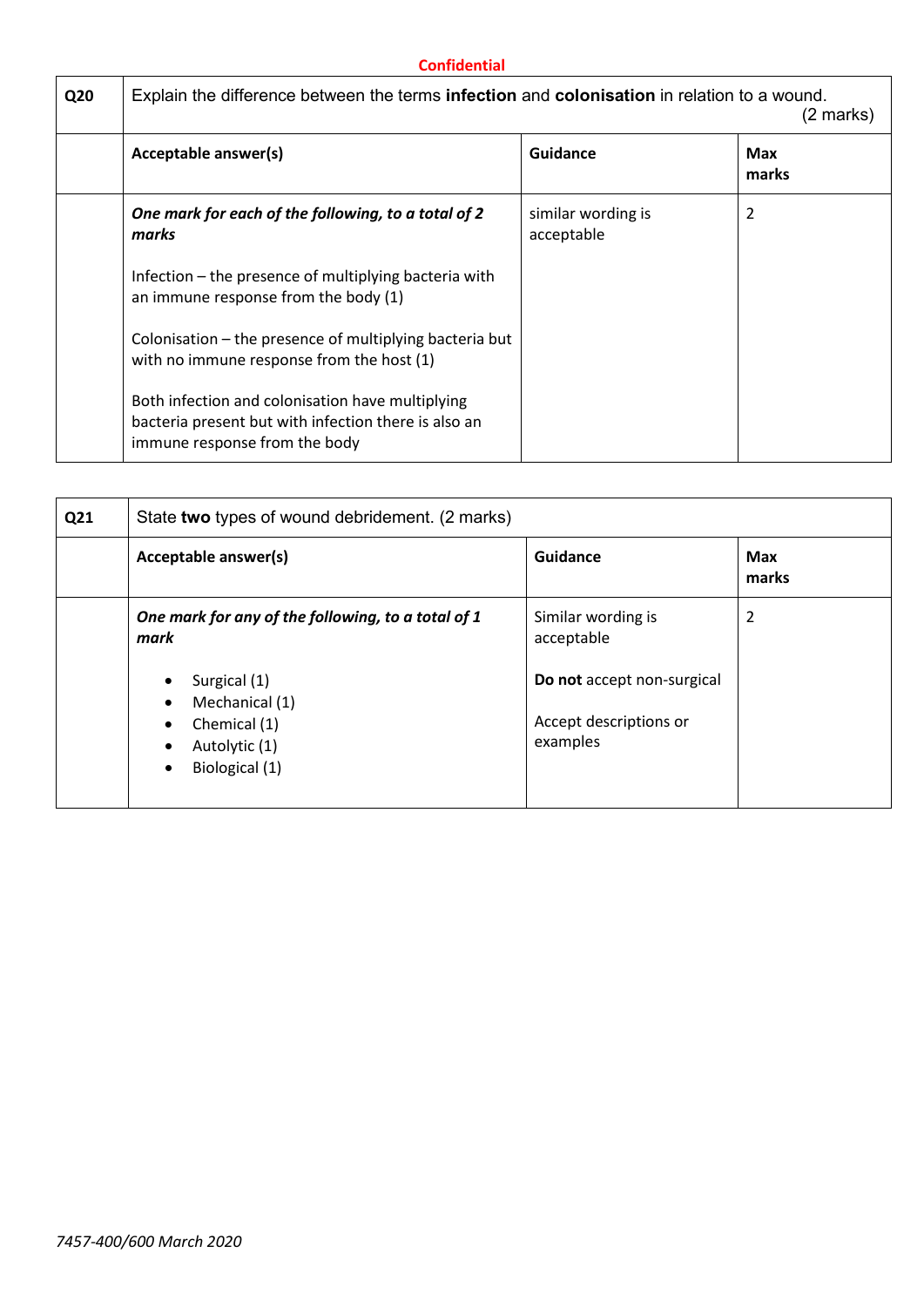| <b>Q20</b> | Explain the difference between the terms infection and colonisation in relation to a wound.<br>$(2 \text{ marks})$                        |                                  |                     |
|------------|-------------------------------------------------------------------------------------------------------------------------------------------|----------------------------------|---------------------|
|            | Acceptable answer(s)                                                                                                                      | <b>Guidance</b>                  | <b>Max</b><br>marks |
|            | One mark for each of the following, to a total of 2<br>marks                                                                              | similar wording is<br>acceptable | 2                   |
|            | Infection – the presence of multiplying bacteria with<br>an immune response from the body (1)                                             |                                  |                     |
|            | Colonisation – the presence of multiplying bacteria but<br>with no immune response from the host (1)                                      |                                  |                     |
|            | Both infection and colonisation have multiplying<br>bacteria present but with infection there is also an<br>immune response from the body |                                  |                     |

| Q21 | State two types of wound debridement. (2 marks)                                                                               |                                                                  |                     |
|-----|-------------------------------------------------------------------------------------------------------------------------------|------------------------------------------------------------------|---------------------|
|     | Acceptable answer(s)                                                                                                          | Guidance                                                         | <b>Max</b><br>marks |
|     | One mark for any of the following, to a total of 1<br>mark                                                                    | Similar wording is<br>acceptable                                 | 2                   |
|     | Surgical (1)<br>Mechanical (1)<br>$\bullet$<br>Chemical (1)<br>٠<br>Autolytic (1)<br>$\bullet$<br>Biological (1)<br>$\bullet$ | Do not accept non-surgical<br>Accept descriptions or<br>examples |                     |